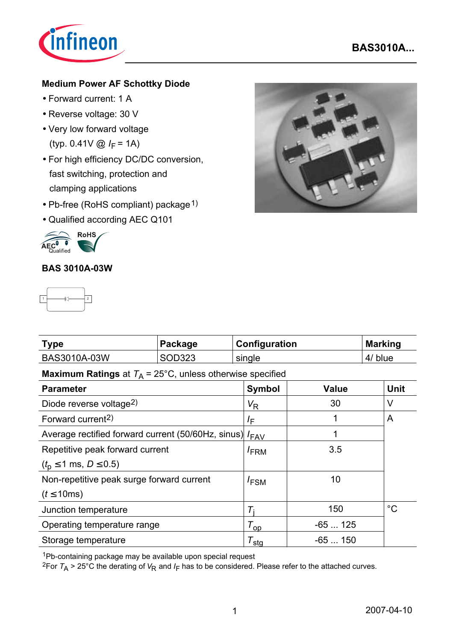

## **Medium Power AF Schottky Diode**

- Forward current: 1 A
- Reverse voltage: 30 V
- Very low forward voltage (typ.  $0.41V \odot I_F = 1A$ )
- For high efficiency DC/DC conversion, fast switching, protection and clamping applications
- Pb-free (RoHS compliant) package<sup>1)</sup>
- Qualified according AEC Q101



## **BAS 3010A-03W**



| <b>Type</b>  | Package | <b>Configuration</b> | <b>Marking</b> |
|--------------|---------|----------------------|----------------|
| BAS3010A-03W | SOD323  | single               | 4/ blue        |

# **Maximum Ratings** at  $T_A = 25^{\circ}$ C, unless otherwise specified

| <b>Parameter</b>                                        | <b>Symbol</b>         | <b>Value</b> | <b>Unit</b> |
|---------------------------------------------------------|-----------------------|--------------|-------------|
| Diode reverse voltage <sup>2)</sup>                     | $V_{R}$               | 30           | V           |
| Forward current <sup>2)</sup>                           | $I_{\mathsf{F}}$      |              | A           |
| Average rectified forward current (50/60Hz, sinus) /FAV |                       | 1            |             |
| Repetitive peak forward current                         | I <sub>FRM</sub>      | 3.5          |             |
| $(t_0 \le 1 \text{ ms}, D \le 0.5)$                     |                       |              |             |
| Non-repetitive peak surge forward current               | $I_{FSM}$             | 10           |             |
| $(t \leq 10$ ms)                                        |                       |              |             |
| Junction temperature                                    | $T_{\rm i}$           | 150          | $^{\circ}C$ |
| Operating temperature range                             | $T_{\text{op}}$       | $-65125$     |             |
| Storage temperature                                     | ${\tau_{\text{sta}}}$ | $-65150$     |             |

1Pb-containing package may be available upon special request

<sup>2</sup>For  $T_A > 25^{\circ}$ C the derating of  $V_R$  and  $I_F$  has to be considered. Please refer to the attached curves.

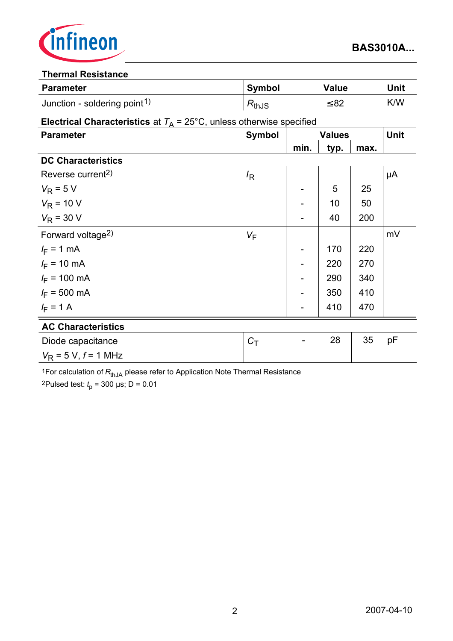

#### **Thermal Resistance**

| <b>Parameter</b>                         | <b>Symbol</b>                   | Value | Unit |
|------------------------------------------|---------------------------------|-------|------|
| Junction - soldering point <sup>1)</sup> | $\mathsf{\tau}_{\mathsf{thJS}}$ | ≤ 82  | K/W  |

### **Electrical Characteristics** at  $T_A = 25^{\circ}$ C, unless otherwise specified

| <b>Parameter</b>              | <b>Symbol</b>    |      | <b>Values</b> |      | <b>Unit</b> |
|-------------------------------|------------------|------|---------------|------|-------------|
|                               |                  | min. | typ.          | max. |             |
| <b>DC Characteristics</b>     |                  |      |               |      |             |
| Reverse current <sup>2)</sup> | $l_{\mathsf{R}}$ |      |               |      | μA          |
| $V_R$ = 5 V                   |                  |      | 5             | 25   |             |
| $V_R$ = 10 V                  |                  |      | 10            | 50   |             |
| $V_R$ = 30 V                  |                  |      | 40            | 200  |             |
| Forward voltage <sup>2)</sup> | $V_F$            |      |               |      | mV          |
| $I_F = 1$ mA                  |                  |      | 170           | 220  |             |
| $I_F = 10 \text{ mA}$         |                  |      | 220           | 270  |             |
| $I_F$ = 100 mA                |                  |      | 290           | 340  |             |
| $I_F = 500 \text{ mA}$        |                  |      | 350           | 410  |             |
| $I_F = 1 A$                   |                  |      | 410           | 470  |             |
| <b>AC Characteristics</b>     |                  |      |               |      |             |
| Diode capacitance             | $C_T$            |      | 28            | 35   | pF          |
| $V_R$ = 5 V, f = 1 MHz        |                  |      |               |      |             |

<sup>1</sup>For calculation of  $R_{thJA}$  please refer to Application Note Thermal Resistance

2Pulsed test: *t* p = 300 µs; D = 0.01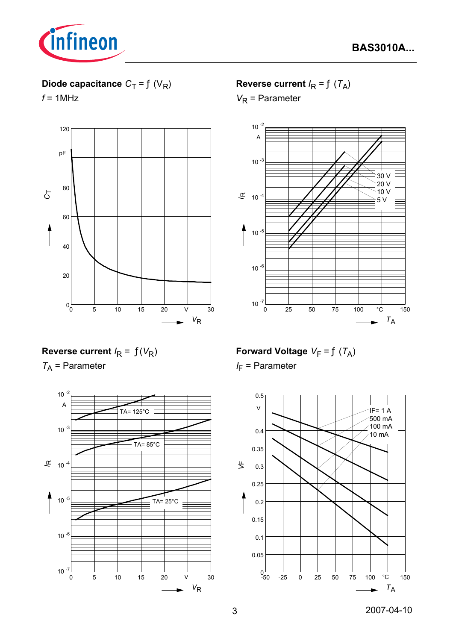

# **Diode capacitance**  $C_T = f(V_R)$

 $f = 1$ MHz



## **Reverse current**  $I_R = f(T_A)$

*V*<sub>R</sub> = Parameter



## **Reverse current**  $I_R = f(V_R)$

*T*A = Parameter



# **Forward Voltage**  $V_F = f(T_A)$

*I*<sub>F</sub> = Parameter

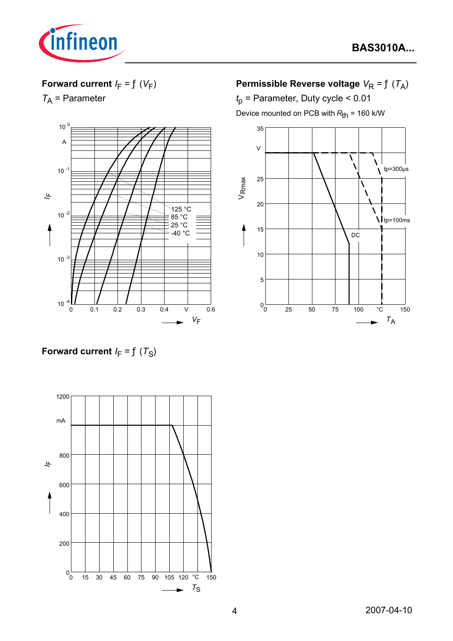

## **Forward current**  $I_F = f(V_F)$

*T*A = Parameter



**Permissible Reverse voltage**  $V_R = f(T_A)$ 

*t*p = Parameter, Duty cycle < 0.01 Device mounted on PCB with  $R_{th}$  = 160 k/W



**Forward current**  $I_F = f(T_S)$ 

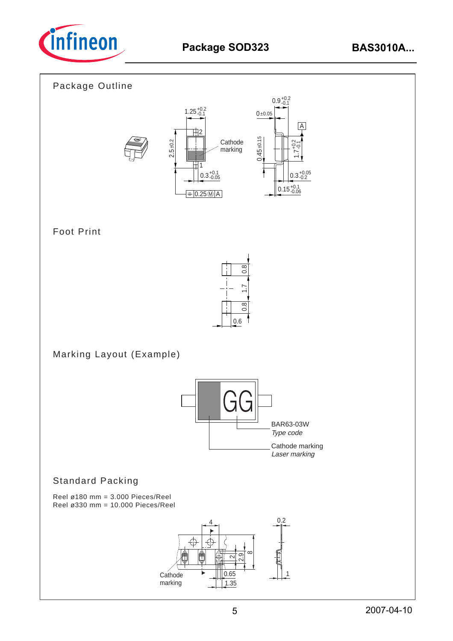